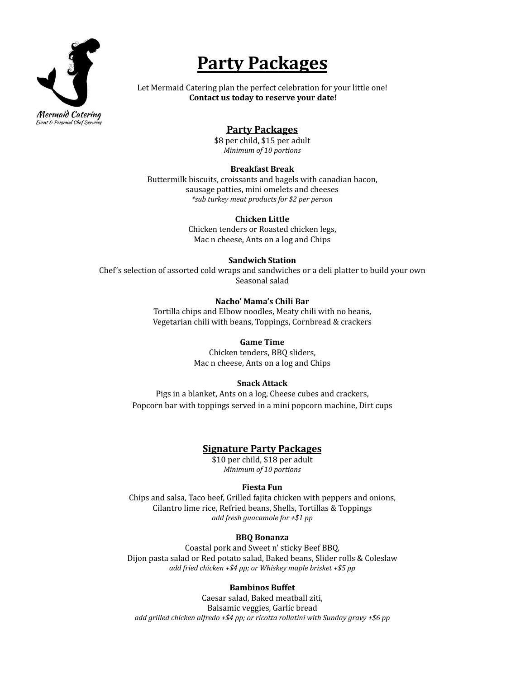

# **Party Packages**

Let Mermaid Catering plan the perfect celebration for your little one! **Contact us today to reserve your date!**

# **Party Packages**

\$8 per child, \$15 per adult *Minimum of 10 portions*

#### **Breakfast Break**

Buttermilk biscuits, croissants and bagels with canadian bacon, sausage patties, mini omelets and cheeses *\*sub turkey meat products for \$2 per person*

#### **Chicken Little**

Chicken tenders or Roasted chicken legs, Mac n cheese, Ants on a log and Chips

#### **Sandwich Station**

Chef's selection of assorted cold wraps and sandwiches or a deli platter to build your own Seasonal salad

#### **Nacho' Mama's Chili Bar**

Tortilla chips and Elbow noodles, Meaty chili with no beans, Vegetarian chili with beans, Toppings, Cornbread & crackers

#### **Game Time**

Chicken tenders, BBQ sliders, Mac n cheese, Ants on a log and Chips

## **Snack Attack**

Pigs in a blanket, Ants on a log, Cheese cubes and crackers, Popcorn bar with toppings served in a mini popcorn machine, Dirt cups

# **Signature Party Packages**

\$10 per child, \$18 per adult *Minimum of 10 portions*

## **Fiesta Fun**

Chips and salsa, Taco beef, Grilled fajita chicken with peppers and onions, Cilantro lime rice, Refried beans, Shells, Tortillas & Toppings *add fresh guacamole for +\$1 pp*

#### **BBQ Bonanza**

Coastal pork and Sweet n' sticky Beef BBQ, Dijon pasta salad or Red potato salad, Baked beans, Slider rolls & Coleslaw *add fried chicken +\$4 pp; or Whiskey maple brisket +\$5 pp*

## **Bambinos Buffet**

Caesar salad, Baked meatball ziti, Balsamic veggies, Garlic bread *add grilled chicken alfredo +\$4 pp; or ricotta rollatini with Sunday gravy +\$6 pp*